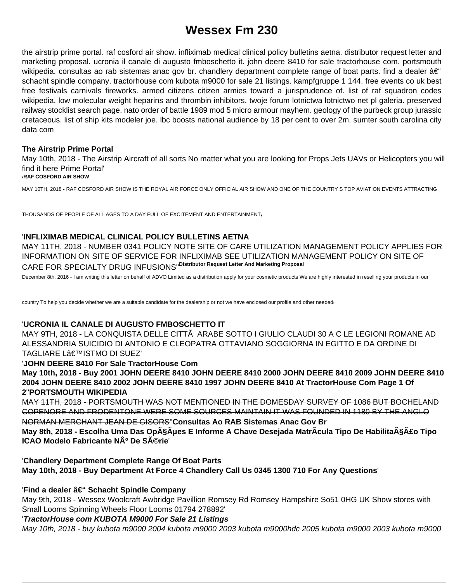# **Wessex Fm 230**

the airstrip prime portal. raf cosford air show. infliximab medical clinical policy bulletins aetna. distributor request letter and marketing proposal. ucronia il canale di augusto fmboschetto it. john deere 8410 for sale tractorhouse com. portsmouth wikipedia. consultas ao rab sistemas anac gov br. chandlery department complete range of boat parts. find a dealer  $\hat{a}\epsilon^{\omega}$ schacht spindle company. tractorhouse com kubota m9000 for sale 21 listings. kampfgruppe 1 144. free events co uk best free festivals carnivals fireworks. armed citizens citizen armies toward a jurisprudence of. list of raf squadron codes wikipedia. low molecular weight heparins and thrombin inhibitors. twoje forum lotnictwa lotnictwo net pl galeria. preserved railway stocklist search page. nato order of battle 1989 mod 5 micro armour mayhem. geology of the purbeck group jurassic cretaceous. list of ship kits modeler joe. lbc boosts national audience by 18 per cent to over 2m. sumter south carolina city data com

# **The Airstrip Prime Portal**

May 10th, 2018 - The Airstrip Aircraft of all sorts No matter what you are looking for Props Jets UAVs or Helicopters you will find it here Prime Portal'

#### '**RAF COSFORD AIR SHOW**

MAY 10TH, 2018 - RAF COSFORD AIR SHOW IS THE ROYAL AIR FORCE ONLY OFFICIAL AIR SHOW AND ONE OF THE COUNTRY S TOP AVIATION EVENTS ATTRACTING

THOUSANDS OF PEOPLE OF ALL AGES TO A DAY FULL OF EXCITEMENT AND ENTERTAINMENT'

# '**INFLIXIMAB MEDICAL CLINICAL POLICY BULLETINS AETNA**

MAY 11TH, 2018 - NUMBER 0341 POLICY NOTE SITE OF CARE UTILIZATION MANAGEMENT POLICY APPLIES FOR INFORMATION ON SITE OF SERVICE FOR INFLIXIMAB SEE UTILIZATION MANAGEMENT POLICY ON SITE OF CARE FOR SPECIALTY DRUG INFUSIONS''**Distributor Request Letter And Marketing Proposal**

December 8th, 2016 - I am writing this letter on behalf of ADVO Limited as a distribution apply for your cosmetic products We are highly interested in reselling your products in our

country To help you decide whether we are a suitable candidate for the dealership or not we have enclosed our profile and other needed'

# '**UCRONIA IL CANALE DI AUGUSTO FMBOSCHETTO IT**

MAY 9TH, 2018 - LA CONQUISTA DELLE CITTÃ ARABE SOTTO I GIULIO CLAUDI 30 A C LE LEGIONI ROMANE AD ALESSANDRIA SUICIDIO DI ANTONIO E CLEOPATRA OTTAVIANO SOGGIORNA IN EGITTO E DA ORDINE DI TAGLIARE L'ISTMO DI SUEZ'

# '**JOHN DEERE 8410 For Sale TractorHouse Com**

**May 10th, 2018 - Buy 2001 JOHN DEERE 8410 JOHN DEERE 8410 2000 JOHN DEERE 8410 2009 JOHN DEERE 8410 2004 JOHN DEERE 8410 2002 JOHN DEERE 8410 1997 JOHN DEERE 8410 At TractorHouse Com Page 1 Of 2**''**PORTSMOUTH WIKIPEDIA**

MAY 11TH, 2018 - PORTSMOUTH WAS NOT MENTIONED IN THE DOMESDAY SURVEY OF 1086 BUT BOCHELAND COPENORE AND FRODENTONE WERE SOME SOURCES MAINTAIN IT WAS FOUNDED IN 1180 BY THE ANGLO NORMAN MERCHANT JEAN DE GISORS''**Consultas Ao RAB Sistemas Anac Gov Br**

May 8th, 2018 - Escolha Uma Das Opções E Informe A Chave Desejada MatrÃcula Tipo De Habilitação Tipo **ICAO Modelo Fabricante Nº De Série'** 

'**Chandlery Department Complete Range Of Boat Parts May 10th, 2018 - Buy Department At Force 4 Chandlery Call Us 0345 1300 710 For Any Questions**'

# 'Find a dealer â€" Schacht Spindle Company

May 9th, 2018 - Wessex Woolcraft Awbridge Pavillion Romsey Rd Romsey Hampshire So51 0HG UK Show stores with Small Looms Spinning Wheels Floor Looms 01794 278892'

# '**TractorHouse com KUBOTA M9000 For Sale 21 Listings**

May 10th, 2018 - buy kubota m9000 2004 kubota m9000 2003 kubota m9000hdc 2005 kubota m9000 2003 kubota m9000